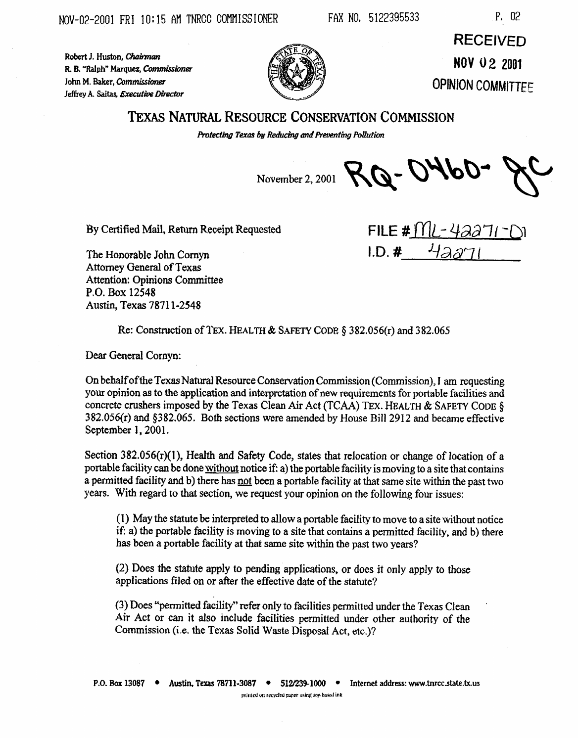Robert J. Huston, Chairman

John M. Baker, Commissioner

P. 02

R. B. "Ralph" Marquez, Commissioner Jeffrey A. Saitas, Executive Director

**RECEIVED NOV 02 2001 OPINION COMMITTEE** 

## **TEXAS NATURAL RESOURCE CONSERVATION COMMISSION**

Protecting Texas by Reducing and Preventing Pollution

November 2, 2001 RQ - 0460

By Certified Mail, Return Receipt Requested

The Honorable John Cornyn Attorney General of Texas **Attention: Opinions Committee** P.O. Box 12548 Austin, Texas 78711-2548

FILE #  $ML - 42271$  $1.D.$ #

Re: Construction of TEX. HEALTH & SAFETY CODE § 382.056(r) and 382.065

Dear General Cornyn:

On behalf of the Texas Natural Resource Conservation Commission (Commission), I am requesting your opinion as to the application and interpretation of new requirements for portable facilities and concrete crushers imposed by the Texas Clean Air Act (TCAA) TEX. HEALTH & SAFETY CODE § 382.056(r) and §382.065. Both sections were amended by House Bill 2912 and became effective September 1, 2001.

Section  $382.056(r)(1)$ . Health and Safety Code, states that relocation or change of location of a portable facility can be done without notice if: a) the portable facility is moving to a site that contains a permitted facility and b) there has not been a portable facility at that same site within the past two years. With regard to that section, we request your opinion on the following four issues:

(1) May the statute be interpreted to allow a portable facility to move to a site without notice if: a) the portable facility is moving to a site that contains a permitted facility, and b) there has been a portable facility at that same site within the past two years?

(2) Does the statute apply to pending applications, or does it only apply to those applications filed on or after the effective date of the statute?

(3) Does "permitted facility" refer only to facilities permitted under the Texas Clean Air Act or can it also include facilities permitted under other authority of the Commission (i.e. the Texas Solid Waste Disposal Act, etc.)?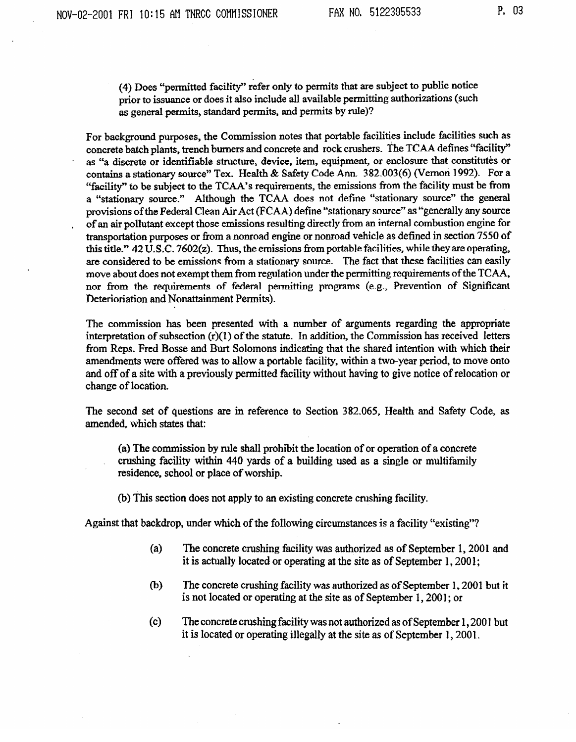(4) Does "permitted facility" refer only to permits that are subject to public notice prior to issuance or does it also include all available permitting authorizations (such as general permits, standard permits, and permits by ruIe)?

For background purposes, the Commission notes that portable facilities include facilities such as concrete batch plants, trench burners and concrete and rock crushers. The TCAA defines "facility" as "a discrete or identifiable structure, device, item, equipment, or enclosure that constitutes or as "a discrete or identifiable structure, device, item, equipment, or enclosure that constitutes or contains a stationary source" Tex. Health & Safety Code Ann. 382.003(6) (Vernon 1992). For a "facility" to be subject to the TCAA's requirements, the emissions from the facility must be from a "stationary source." Although the TCAA does not define "stationary source" the general provisions of the Federal Clean Air Act (FCAA) define "stationary source" as "generally any source<br>of an air pollutant except those emissions resulting directly from an internal combustion engine for transportation purposes or from a nonroad engine or nonroad vehicle as defined in section 7550 of this title."  $42 \overline{U}$ .S.C.  $7602(z)$ . Thus, the emissions from portable facilities, while they are operating, are considered to be emissions from a stationary source. The fact that these facilities can easily move about does not exempt them from regulation under the permitting requirements of the TCAA, move about does not exempt them from regulation under the permitting requirements of the TCAA, nor from the requirements of federal permitting programs (e.g., Prevention of Significant Deterioriation and Nonattainment Permits).

The commission has been presented with a number of arguments regarding the appropriate interpretation of subsection  $(r)(1)$  of the statute. In addition, the Commission has received letters from Reps. Fred Bosse and Burt Solomons indicating that the shared intention with which their amendments were offered was to allow a portable facility, within a two-year period, to move onto amendments were offered was to allow a portable facility, whill a two-year period, to move onto and off of a site with a previously permitted facility without having to give notice of relocation or change of location.

The second set of questions are in reference to Section 382.065, Health and Safety Code, as amended, which states that:

(a) The commission by rule shall prohibit the location of or operation of a concrete comming thems, within 440 yards of a building used as a single or multitamily residence, school or place of worship.

(b) This section does not apply to an existing concrete concrete concrete crushing facility.

 $A_{\alpha}$  and the following circumstances is a facility  $\alpha$  following circumstances is a facility  $\alpha$ 

- $(a)$ The concrete crushing facility was authorized as of September 1, 2001 and it is actually located or operating at the site as of September 1, 2001; it is actually located or operating at the site as of September 1,2001;
- (b) The concrete crushing facility was authorized as of September 1, 2001 but it is not located or operating at the site as of September 1, 2001; or
- $(c)$ The concrete crushing facility was not authorized as of September 1, 2001 but it is located or operating illegally at the site as of September 1, 2001.

is not located or operating at the site as of **September** 1,200l; or